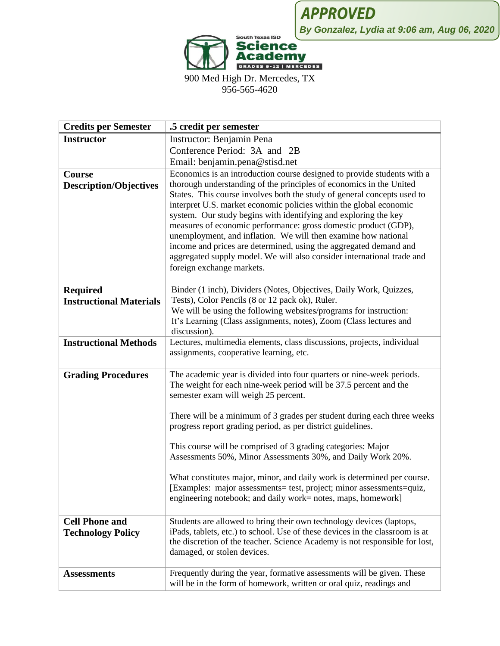

900 Med High Dr. Mercedes, TX 956-565-4620

| <b>Credits per Semester</b>    | .5 credit per semester                                                                                                                                                                                                                                                                                                                                                                                                                                                                                                                                                                                   |
|--------------------------------|----------------------------------------------------------------------------------------------------------------------------------------------------------------------------------------------------------------------------------------------------------------------------------------------------------------------------------------------------------------------------------------------------------------------------------------------------------------------------------------------------------------------------------------------------------------------------------------------------------|
| <b>Instructor</b>              | Instructor: Benjamin Pena                                                                                                                                                                                                                                                                                                                                                                                                                                                                                                                                                                                |
|                                | Conference Period: 3A and 2B                                                                                                                                                                                                                                                                                                                                                                                                                                                                                                                                                                             |
|                                | Email: benjamin.pena@stisd.net                                                                                                                                                                                                                                                                                                                                                                                                                                                                                                                                                                           |
| Course                         | Economics is an introduction course designed to provide students with a                                                                                                                                                                                                                                                                                                                                                                                                                                                                                                                                  |
| <b>Description/Objectives</b>  | thorough understanding of the principles of economics in the United<br>States. This course involves both the study of general concepts used to<br>interpret U.S. market economic policies within the global economic<br>system. Our study begins with identifying and exploring the key<br>measures of economic performance: gross domestic product (GDP),<br>unemployment, and inflation. We will then examine how national<br>income and prices are determined, using the aggregated demand and<br>aggregated supply model. We will also consider international trade and<br>foreign exchange markets. |
| <b>Required</b>                | Binder (1 inch), Dividers (Notes, Objectives, Daily Work, Quizzes,                                                                                                                                                                                                                                                                                                                                                                                                                                                                                                                                       |
| <b>Instructional Materials</b> | Tests), Color Pencils (8 or 12 pack ok), Ruler.                                                                                                                                                                                                                                                                                                                                                                                                                                                                                                                                                          |
|                                | We will be using the following websites/programs for instruction:                                                                                                                                                                                                                                                                                                                                                                                                                                                                                                                                        |
|                                | It's Learning (Class assignments, notes), Zoom (Class lectures and                                                                                                                                                                                                                                                                                                                                                                                                                                                                                                                                       |
|                                | discussion).                                                                                                                                                                                                                                                                                                                                                                                                                                                                                                                                                                                             |
| <b>Instructional Methods</b>   | Lectures, multimedia elements, class discussions, projects, individual<br>assignments, cooperative learning, etc.                                                                                                                                                                                                                                                                                                                                                                                                                                                                                        |
| <b>Grading Procedures</b>      | The academic year is divided into four quarters or nine-week periods.<br>The weight for each nine-week period will be 37.5 percent and the<br>semester exam will weigh 25 percent.                                                                                                                                                                                                                                                                                                                                                                                                                       |
|                                | There will be a minimum of 3 grades per student during each three weeks<br>progress report grading period, as per district guidelines.                                                                                                                                                                                                                                                                                                                                                                                                                                                                   |
|                                | This course will be comprised of 3 grading categories: Major                                                                                                                                                                                                                                                                                                                                                                                                                                                                                                                                             |
|                                | Assessments 50%, Minor Assessments 30%, and Daily Work 20%.                                                                                                                                                                                                                                                                                                                                                                                                                                                                                                                                              |
|                                | What constitutes major, minor, and daily work is determined per course.<br>[Examples: major assessments= test, project; minor assessments=quiz,<br>engineering notebook; and daily work= notes, maps, homework]                                                                                                                                                                                                                                                                                                                                                                                          |
| <b>Cell Phone and</b>          | Students are allowed to bring their own technology devices (laptops,                                                                                                                                                                                                                                                                                                                                                                                                                                                                                                                                     |
| <b>Technology Policy</b>       | iPads, tablets, etc.) to school. Use of these devices in the classroom is at<br>the discretion of the teacher. Science Academy is not responsible for lost,<br>damaged, or stolen devices.                                                                                                                                                                                                                                                                                                                                                                                                               |
| <b>Assessments</b>             | Frequently during the year, formative assessments will be given. These<br>will be in the form of homework, written or oral quiz, readings and                                                                                                                                                                                                                                                                                                                                                                                                                                                            |